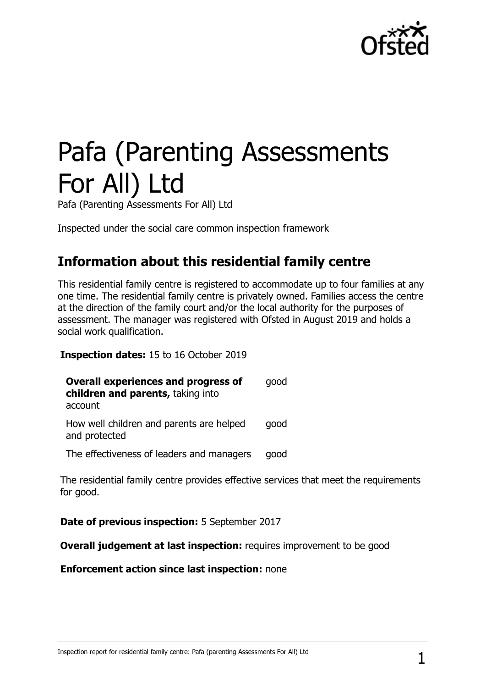

# Pafa (Parenting Assessments For All) Ltd

Pafa (Parenting Assessments For All) Ltd

Inspected under the social care common inspection framework

## **Information about this residential family centre**

This residential family centre is registered to accommodate up to four families at any one time. The residential family centre is privately owned. Families access the centre at the direction of the family court and/or the local authority for the purposes of assessment. The manager was registered with Ofsted in August 2019 and holds a social work qualification.

**Inspection dates:** 15 to 16 October 2019

| <b>Overall experiences and progress of</b><br>children and parents, taking into | good |
|---------------------------------------------------------------------------------|------|
| account                                                                         |      |
| How well children and parents are helped<br>and protected                       | good |
| The effectiveness of leaders and managers                                       | good |

The residential family centre provides effective services that meet the requirements for good.

**Date of previous inspection:** 5 September 2017

**Overall judgement at last inspection:** requires improvement to be good

**Enforcement action since last inspection:** none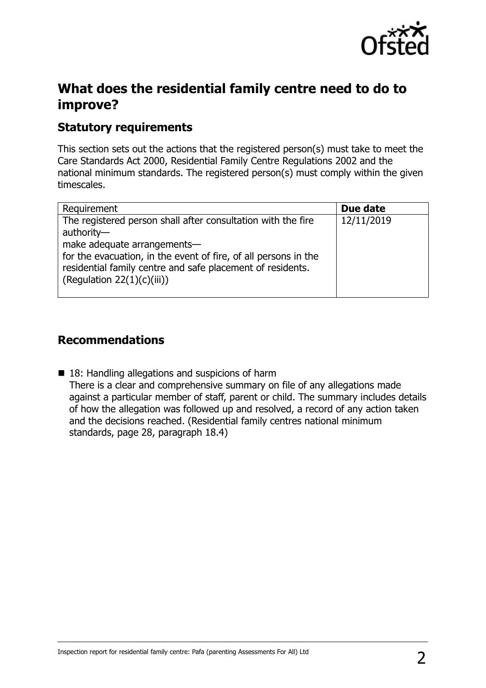

## **What does the residential family centre need to do to improve?**

## **Statutory requirements**

This section sets out the actions that the registered person(s) must take to meet the Care Standards Act 2000, Residential Family Centre Regulations 2002 and the national minimum standards. The registered person(s) must comply within the given timescales.

| Requirement                                                                                                                                                                                                                                                                 | Due date   |
|-----------------------------------------------------------------------------------------------------------------------------------------------------------------------------------------------------------------------------------------------------------------------------|------------|
| The registered person shall after consultation with the fire<br>authority-<br>make adequate arrangements-<br>for the evacuation, in the event of fire, of all persons in the<br>residential family centre and safe placement of residents.<br>(Regulation $22(1)(c)(iii)$ ) | 12/11/2019 |

### **Recommendations**

■ 18: Handling allegations and suspicions of harm There is a clear and comprehensive summary on file of any allegations made against a particular member of staff, parent or child. The summary includes details of how the allegation was followed up and resolved, a record of any action taken and the decisions reached. (Residential family centres national minimum standards, page 28, paragraph 18.4)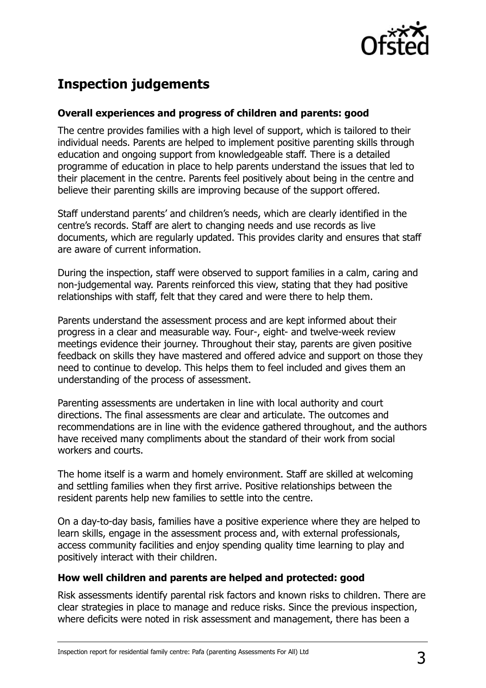

# **Inspection judgements**

#### **Overall experiences and progress of children and parents: good**

The centre provides families with a high level of support, which is tailored to their individual needs. Parents are helped to implement positive parenting skills through education and ongoing support from knowledgeable staff. There is a detailed programme of education in place to help parents understand the issues that led to their placement in the centre. Parents feel positively about being in the centre and believe their parenting skills are improving because of the support offered.

Staff understand parents' and children's needs, which are clearly identified in the centre's records. Staff are alert to changing needs and use records as live documents, which are regularly updated. This provides clarity and ensures that staff are aware of current information.

During the inspection, staff were observed to support families in a calm, caring and non-judgemental way. Parents reinforced this view, stating that they had positive relationships with staff, felt that they cared and were there to help them.

Parents understand the assessment process and are kept informed about their progress in a clear and measurable way. Four-, eight- and twelve-week review meetings evidence their journey. Throughout their stay, parents are given positive feedback on skills they have mastered and offered advice and support on those they need to continue to develop. This helps them to feel included and gives them an understanding of the process of assessment.

Parenting assessments are undertaken in line with local authority and court directions. The final assessments are clear and articulate. The outcomes and recommendations are in line with the evidence gathered throughout, and the authors have received many compliments about the standard of their work from social workers and courts.

The home itself is a warm and homely environment. Staff are skilled at welcoming and settling families when they first arrive. Positive relationships between the resident parents help new families to settle into the centre.

On a day-to-day basis, families have a positive experience where they are helped to learn skills, engage in the assessment process and, with external professionals, access community facilities and enjoy spending quality time learning to play and positively interact with their children.

#### **How well children and parents are helped and protected: good**

Risk assessments identify parental risk factors and known risks to children. There are clear strategies in place to manage and reduce risks. Since the previous inspection, where deficits were noted in risk assessment and management, there has been a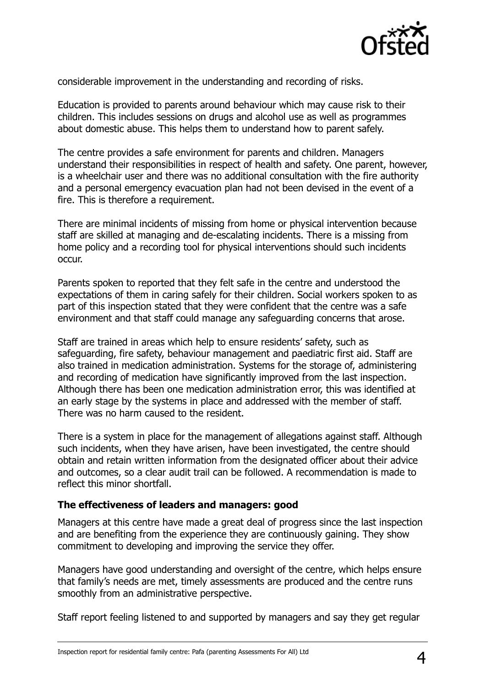

considerable improvement in the understanding and recording of risks.

Education is provided to parents around behaviour which may cause risk to their children. This includes sessions on drugs and alcohol use as well as programmes about domestic abuse. This helps them to understand how to parent safely.

The centre provides a safe environment for parents and children. Managers understand their responsibilities in respect of health and safety. One parent, however, is a wheelchair user and there was no additional consultation with the fire authority and a personal emergency evacuation plan had not been devised in the event of a fire. This is therefore a requirement.

There are minimal incidents of missing from home or physical intervention because staff are skilled at managing and de-escalating incidents. There is a missing from home policy and a recording tool for physical interventions should such incidents occur.

Parents spoken to reported that they felt safe in the centre and understood the expectations of them in caring safely for their children. Social workers spoken to as part of this inspection stated that they were confident that the centre was a safe environment and that staff could manage any safeguarding concerns that arose.

Staff are trained in areas which help to ensure residents' safety, such as safeguarding, fire safety, behaviour management and paediatric first aid. Staff are also trained in medication administration. Systems for the storage of, administering and recording of medication have significantly improved from the last inspection. Although there has been one medication administration error, this was identified at an early stage by the systems in place and addressed with the member of staff. There was no harm caused to the resident.

There is a system in place for the management of allegations against staff. Although such incidents, when they have arisen, have been investigated, the centre should obtain and retain written information from the designated officer about their advice and outcomes, so a clear audit trail can be followed. A recommendation is made to reflect this minor shortfall.

#### **The effectiveness of leaders and managers: good**

Managers at this centre have made a great deal of progress since the last inspection and are benefiting from the experience they are continuously gaining. They show commitment to developing and improving the service they offer.

Managers have good understanding and oversight of the centre, which helps ensure that family's needs are met, timely assessments are produced and the centre runs smoothly from an administrative perspective.

Staff report feeling listened to and supported by managers and say they get regular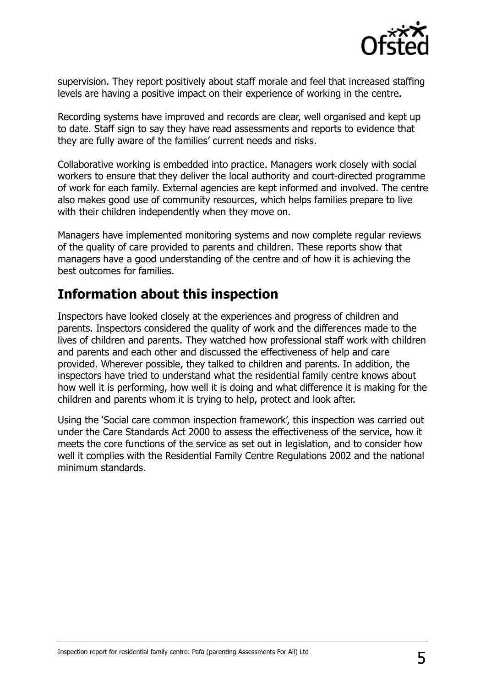

supervision. They report positively about staff morale and feel that increased staffing levels are having a positive impact on their experience of working in the centre.

Recording systems have improved and records are clear, well organised and kept up to date. Staff sign to say they have read assessments and reports to evidence that they are fully aware of the families' current needs and risks.

Collaborative working is embedded into practice. Managers work closely with social workers to ensure that they deliver the local authority and court-directed programme of work for each family. External agencies are kept informed and involved. The centre also makes good use of community resources, which helps families prepare to live with their children independently when they move on.

Managers have implemented monitoring systems and now complete regular reviews of the quality of care provided to parents and children. These reports show that managers have a good understanding of the centre and of how it is achieving the best outcomes for families.

## **Information about this inspection**

Inspectors have looked closely at the experiences and progress of children and parents. Inspectors considered the quality of work and the differences made to the lives of children and parents. They watched how professional staff work with children and parents and each other and discussed the effectiveness of help and care provided. Wherever possible, they talked to children and parents. In addition, the inspectors have tried to understand what the residential family centre knows about how well it is performing, how well it is doing and what difference it is making for the children and parents whom it is trying to help, protect and look after.

Using the 'Social care common inspection framework', this inspection was carried out under the Care Standards Act 2000 to assess the effectiveness of the service, how it meets the core functions of the service as set out in legislation, and to consider how well it complies with the Residential Family Centre Regulations 2002 and the national minimum standards.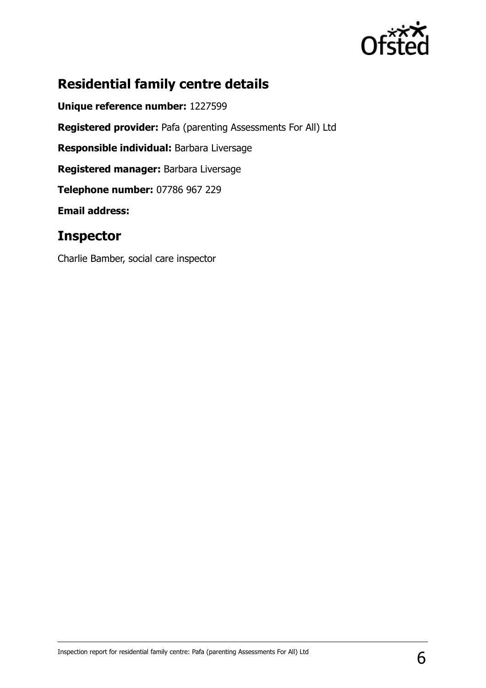

# **Residential family centre details**

**Unique reference number:** 1227599 **Registered provider:** Pafa (parenting Assessments For All) Ltd **Responsible individual:** Barbara Liversage **Registered manager:** Barbara Liversage **Telephone number:** 07786 967 229 **Email address:** 

## **Inspector**

Charlie Bamber, social care inspector